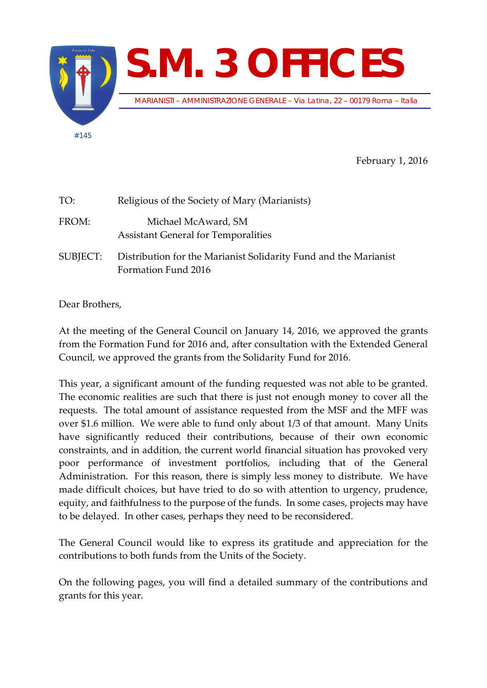

February 1, 2016

| TO:      | Religious of the Society of Mary (Marianists)                                           |
|----------|-----------------------------------------------------------------------------------------|
| FROM:    | Michael McAward, SM<br><b>Assistant General for Temporalities</b>                       |
| SUBJECT: | Distribution for the Marianist Solidarity Fund and the Marianist<br>Formation Fund 2016 |

Dear Brothers,

At the meeting of the General Council on January 14, 2016, we approved the grants from the Formation Fund for 2016 and, after consultation with the Extended General Council, we approved the grants from the Solidarity Fund for 2016.

This year, a significant amount of the funding requested was not able to be granted. The economic realities are such that there is just not enough money to cover all the requests. The total amount of assistance requested from the MSF and the MFF was over \$1.6 million. We were able to fund only about 1/3 of that amount. Many Units have significantly reduced their contributions, because of their own economic constraints, and in addition, the current world financial situation has provoked very poor performance of investment portfolios, including that of the General Administration. For this reason, there is simply less money to distribute. We have made difficult choices, but have tried to do so with attention to urgency, prudence, equity, and faithfulness to the purpose of the funds. In some cases, projects may have to be delayed. In other cases, perhaps they need to be reconsidered.

The General Council would like to express its gratitude and appreciation for the contributions to both funds from the Units of the Society.

On the following pages, you will find a detailed summary of the contributions and grants for this year.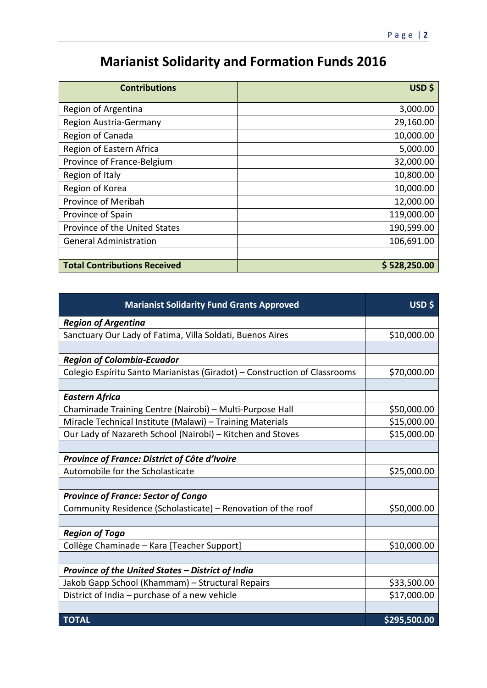## **Marianist Solidarity and Formation Funds 2016**

| <b>Contributions</b>                | USD \$       |
|-------------------------------------|--------------|
| Region of Argentina                 | 3,000.00     |
| Region Austria-Germany              | 29,160.00    |
| Region of Canada                    | 10,000.00    |
| Region of Eastern Africa            | 5,000.00     |
| Province of France-Belgium          | 32,000.00    |
| Region of Italy                     | 10,800.00    |
| Region of Korea                     | 10,000.00    |
| Province of Meribah                 | 12,000.00    |
| Province of Spain                   | 119,000.00   |
| Province of the United States       | 190,599.00   |
| <b>General Administration</b>       | 106,691.00   |
|                                     |              |
| <b>Total Contributions Received</b> | \$528,250.00 |

| <b>Marianist Solidarity Fund Grants Approved</b>                          | USD \$       |
|---------------------------------------------------------------------------|--------------|
| <b>Region of Argentina</b>                                                |              |
| Sanctuary Our Lady of Fatima, Villa Soldati, Buenos Aires                 | \$10,000.00  |
|                                                                           |              |
| <b>Region of Colombia-Ecuador</b>                                         |              |
| Colegio Espíritu Santo Marianistas (Giradot) - Construction of Classrooms | \$70,000.00  |
|                                                                           |              |
| <b>Eastern Africa</b>                                                     |              |
| Chaminade Training Centre (Nairobi) - Multi-Purpose Hall                  | \$50,000.00  |
| Miracle Technical Institute (Malawi) - Training Materials                 | \$15,000.00  |
| Our Lady of Nazareth School (Nairobi) - Kitchen and Stoves                | \$15,000.00  |
|                                                                           |              |
| Province of France: District of Côte d'Ivoire                             |              |
| Automobile for the Scholasticate                                          | \$25,000.00  |
|                                                                           |              |
| <b>Province of France: Sector of Congo</b>                                |              |
| Community Residence (Scholasticate) - Renovation of the roof              | \$50,000.00  |
|                                                                           |              |
| <b>Region of Togo</b>                                                     |              |
| Collège Chaminade - Kara [Teacher Support]                                | \$10,000.00  |
|                                                                           |              |
| Province of the United States - District of India                         |              |
| Jakob Gapp School (Khammam) - Structural Repairs                          | \$33,500.00  |
| District of India - purchase of a new vehicle                             | \$17,000.00  |
|                                                                           |              |
| <b>TOTAL</b>                                                              | \$295,500.00 |